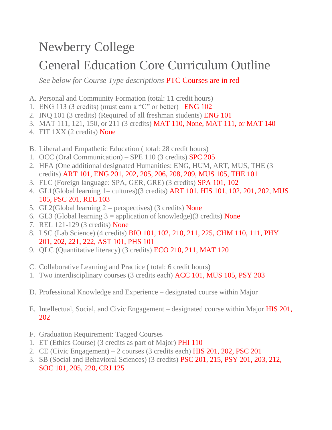## Newberry College

## General Education Core Curriculum Outline

*See below for Course Type descriptions* PTC Courses are in red

- A. Personal and Community Formation (total: 11 credit hours)
- 1. ENG 113 (3 credits) (must earn a "C" or better) ENG 102
- 2. INQ 101 (3 credits) (Required of all freshman students) ENG 101
- 3. MAT 111, 121, 150, or 211 (3 credits) MAT 110, None, MAT 111, or MAT 140
- 4. FIT 1XX (2 credits) None
- B. Liberal and Empathetic Education ( total: 28 credit hours)
- 1. OCC (Oral Communication) SPE 110 (3 credits) SPC 205
- 2. HFA (One additional designated Humanities: ENG, HUM, ART, MUS, THE (3 credits) ART 101, ENG 201, 202, 205, 206, 208, 209, MUS 105, THE 101
- 3. FLC (Foreign language: SPA, GER, GRE) (3 credits) SPA 101, 102
- 4. GL1(Global learning 1= cultures)(3 credits) ART 101, HIS 101, 102, 201, 202, MUS 105, PSC 201, REL 103
- 5. GL2(Global learning  $2 =$  perspectives) (3 credits) None
- 6. GL3 (Global learning  $3 =$  application of knowledge)(3 credits) None
- 7. REL 121-129 (3 credits) None
- 8. LSC (Lab Science) (4 credits) BIO 101, 102, 210, 211, 225, CHM 110, 111, PHY 201, 202, 221, 222, AST 101, PHS 101
- 9. QLC (Quantitative literacy) (3 credits) ECO 210, 211, MAT 120
- C. Collaborative Learning and Practice ( total: 6 credit hours)
- 1. Two interdisciplinary courses (3 credits each) ACC 101, MUS 105, PSY 203
- D. Professional Knowledge and Experience designated course within Major
- E. Intellectual, Social, and Civic Engagement designated course within Major HIS 201, 202
- F. Graduation Requirement: Tagged Courses
- 1. ET (Ethics Course) (3 credits as part of Major) PHI 110
- 2. CE (Civic Engagement)  $-2$  courses (3 credits each) HIS 201, 202, PSC 201
- 3. SB (Social and Behavioral Sciences) (3 credits) PSC 201, 215, PSY 201, 203, 212, SOC 101, 205, 220, CRJ 125